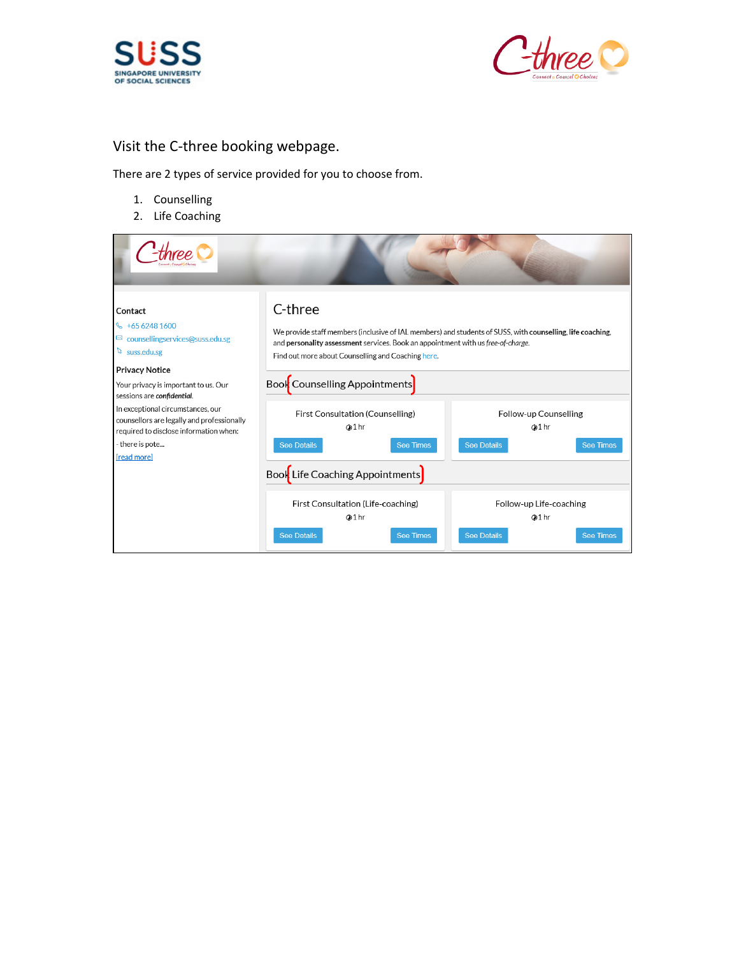



## Visit the C-three booking webpage.

There are 2 types of service provided for you to choose from.

- 1. Counselling
- 2. Life Coaching

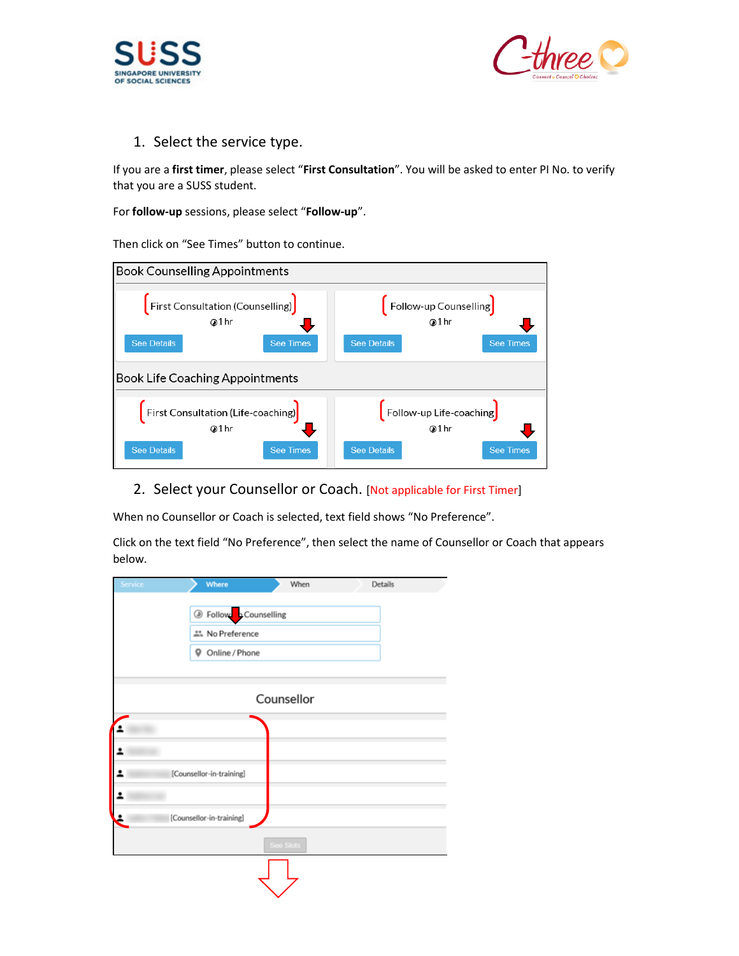



1. Select the service type.

If you are a first timer, please select "First Consultation". You will be asked to enter PI No. to verify that you are a SUSS student.

For follow-up sessions, please select "Follow-up".

Then click on "See Times" button to continue.



2. Select your Counsellor or Coach. [Not applicable for First Timer]

When no Counsellor or Coach is selected, text field shows "No Preference".

Click on the text field "No Preference", then select the name of Counsellor or Coach that appears below.

| Service | Where                    | When       | Details |  |
|---------|--------------------------|------------|---------|--|
|         | Se Follow Counselling    |            |         |  |
|         | 쓰. No Preference         |            |         |  |
|         | 9<br>Online / Phone      |            |         |  |
|         |                          |            |         |  |
|         |                          | Counsellor |         |  |
| 2       |                          |            |         |  |
|         | [Counsellor-in-training] |            |         |  |
|         |                          |            |         |  |
|         | [Counsellor-in-training] |            |         |  |
|         |                          | See Slots  |         |  |
|         |                          |            |         |  |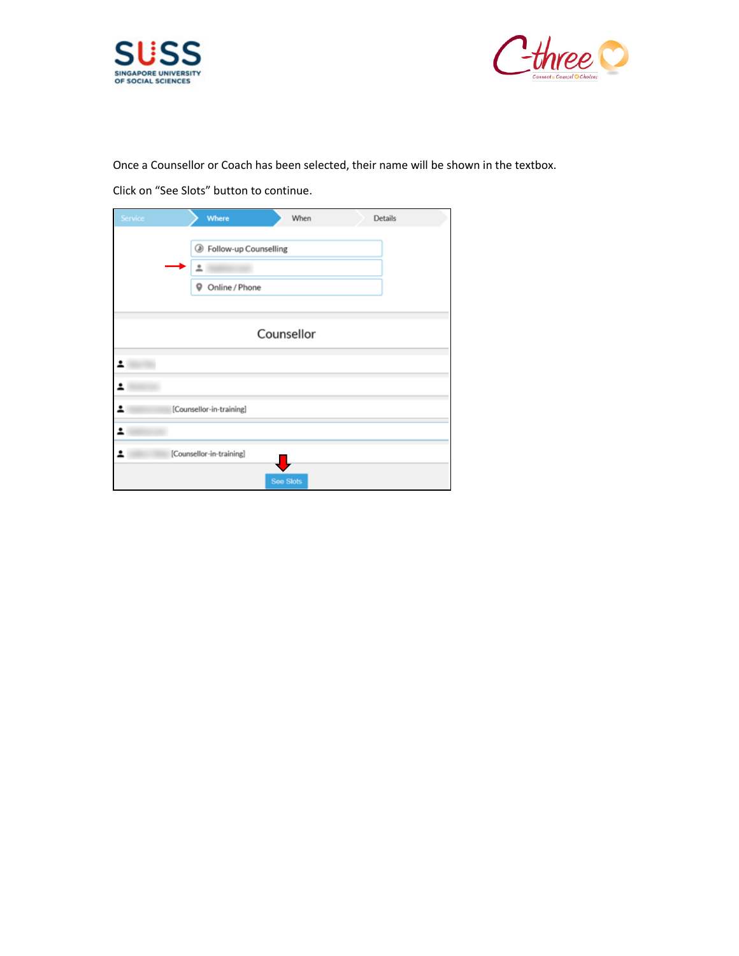



Once a Counsellor or Coach has been selected, their name will be shown in the textbox.

Click on "See Slots" button to continue.

| Service | Where                                                          | When       | Details |  |
|---------|----------------------------------------------------------------|------------|---------|--|
|         | <sup>3</sup> Follow-up Counselling<br>Հ<br>Online / Phone<br>۰ |            |         |  |
|         |                                                                | Counsellor |         |  |
| 2       |                                                                |            |         |  |
|         |                                                                |            |         |  |
|         | [Counsellor-in-training]                                       |            |         |  |
|         |                                                                |            |         |  |
|         | [Counsellor-in-training]                                       |            |         |  |
|         |                                                                | See Slots  |         |  |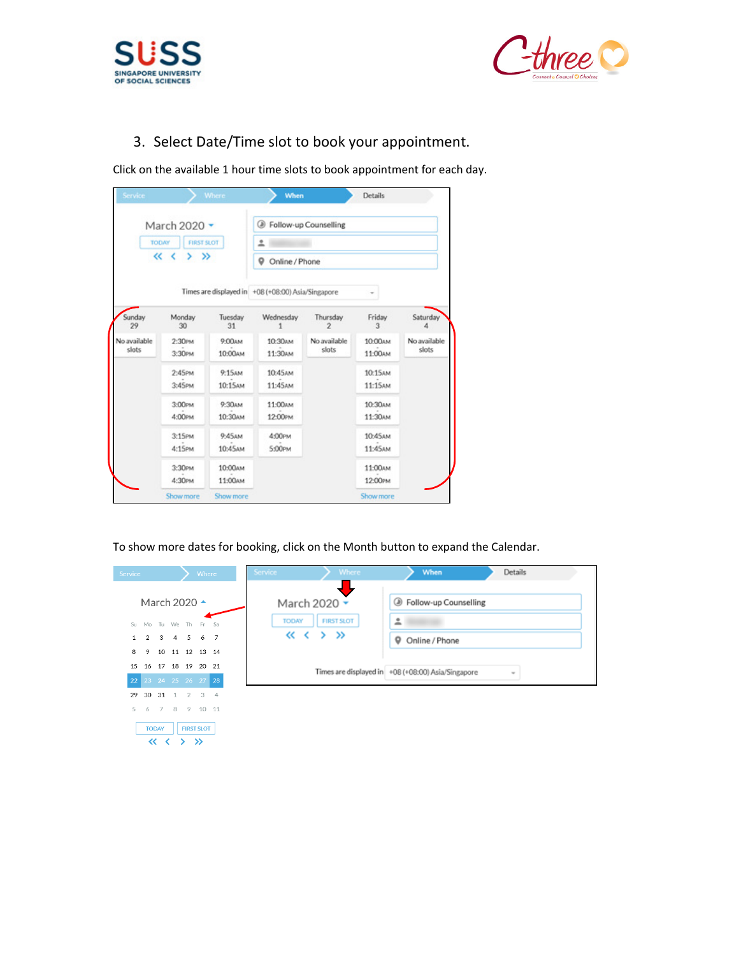



# 3. Select Date/Time slot to book your appointment.

Click on the available 1 hour time slots to book appointment for each day.

| Service               |                                   | <b>Where</b>        | When                                               |                       | <b>Details</b>      |                       |  |  |
|-----------------------|-----------------------------------|---------------------|----------------------------------------------------|-----------------------|---------------------|-----------------------|--|--|
|                       | March 2020 -                      |                     | <b>B</b> Follow-up Counselling                     |                       |                     |                       |  |  |
|                       | <b>FIRST SLOT</b><br><b>TODAY</b> |                     | ≗<br>9<br>Online / Phone                           |                       |                     |                       |  |  |
|                       | くく<br>$>$ $\gg$                   |                     |                                                    |                       |                     |                       |  |  |
|                       |                                   |                     | Times are displayed in +08 (+08:00) Asia/Singapore |                       |                     |                       |  |  |
| Sunday<br>29          | Monday<br>30                      | Tuesdav<br>31       | Wednesday                                          | Thursday<br>2         | Friday<br>3         | Saturday<br>л         |  |  |
| No available<br>slots | 2:30Рм<br>3:30PM                  | 9:00AM<br>10:00ам   | 10:30мм<br>11:30AM                                 | No available<br>slots | 10:00 AM<br>11:00AM | No available<br>slots |  |  |
|                       | $2:45$ PM<br>$3:45$ PM            | 9:15AM<br>10:15AM   | 10:45AM<br>11:45AM                                 |                       | 10:15AM<br>11:15AM  |                       |  |  |
|                       | 3:00PM<br>4:00Рм                  | 9:30AM<br>10:30 мм  | 11:00 мм<br>12:00Рм                                |                       | 10:30AM<br>11:30AM  |                       |  |  |
|                       | 3:15PM<br>4:15РМ                  | 9:45AM<br>10:45 AM  | 4:00PM<br>5:00PM                                   |                       | 10:45 AM<br>11:45AM |                       |  |  |
|                       | 3:30Рм<br>4:30РМ                  | 10:00AM<br>11:00 AM |                                                    |                       | 11:00AM<br>12:00PM  |                       |  |  |
|                       | Show more                         | Show more           |                                                    |                       | Show more           |                       |  |  |

To show more dates for booking, click on the Month button to expand the Calendar.

| Service      |                |                     |                      | Where                              |                | <b>Service</b> |              | <b>Where</b>      | When                                               | <b>Details</b> |
|--------------|----------------|---------------------|----------------------|------------------------------------|----------------|----------------|--------------|-------------------|----------------------------------------------------|----------------|
|              |                |                     | March 2020 ^         |                                    |                |                |              | March 2020 -      | S Follow-up Counselling                            |                |
| Su-          | Mo             |                     | Tu We Th Fr Sa       |                                    |                |                | <b>TODAY</b> | <b>FIRST SLOT</b> | 흐                                                  |                |
| $\mathbf{1}$ | $\overline{2}$ |                     | $3 \quad 4$          | 5 6                                | $\overline{7}$ |                |              | $\ll$ < > »       | Online / Phone<br>9                                |                |
| 8.           | 9              |                     | 10 11 12 13 14       |                                    |                |                |              |                   |                                                    |                |
| 15           |                |                     | 16 17 18 19 20 21    |                                    |                |                |              |                   | Times are displayed in +08 (+08:00) Asia/Singapore | $\sim$         |
|              |                |                     | 22 23 24 25 26 27 28 |                                    |                |                |              |                   |                                                    |                |
| 29           | 30             | 31                  | 1                    | $2 \quad 3$                        | $\overline{4}$ |                |              |                   |                                                    |                |
| 5            | 6              | 7 8                 |                      | 9 10 11                            |                |                |              |                   |                                                    |                |
|              |                | <b>TODAY</b><br>くくく |                      | <b>FIRST SLOT</b><br>$\rightarrow$ |                |                |              |                   |                                                    |                |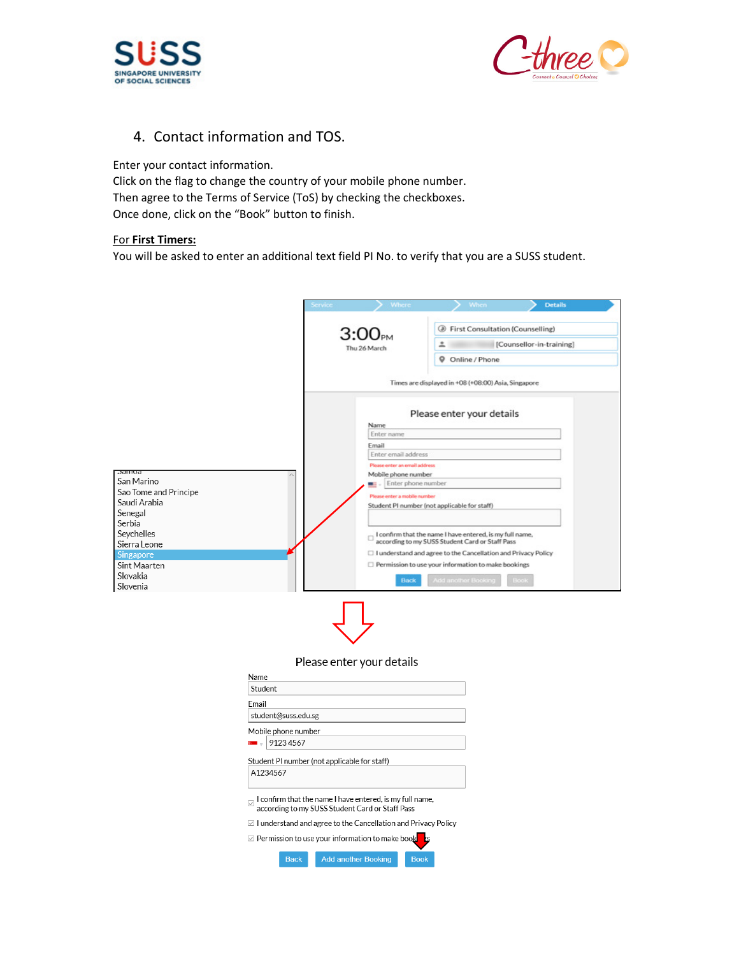



## 4. Contact information and TOS.

Enter your contact information.

Click on the flag to change the country of your mobile phone number. Then agree to the Terms of Service (ToS) by checking the checkboxes. Once done, click on the "Book" button to finish.

### For First Timers:

You will be asked to enter an additional text field PI No. to verify that you are a SUSS student.

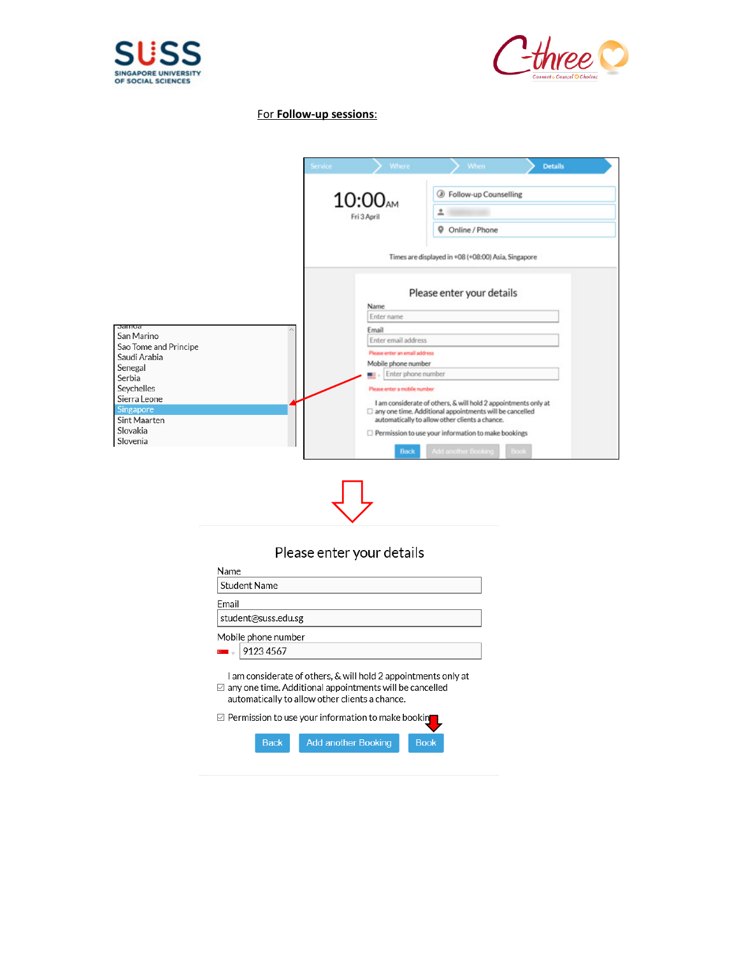



### For Follow-up sessions:

|                                                  | <b>Where</b><br>Service       | When:<br><b>Details</b>                                                                                                                                                       |  |  |
|--------------------------------------------------|-------------------------------|-------------------------------------------------------------------------------------------------------------------------------------------------------------------------------|--|--|
|                                                  | 10:00 <sub>AM</sub>           | Follow-up Counselling<br>⊛                                                                                                                                                    |  |  |
|                                                  | Fri 3 April                   | ≗                                                                                                                                                                             |  |  |
|                                                  |                               | 9<br>Online / Phone                                                                                                                                                           |  |  |
|                                                  |                               | Times are displayed in +08 (+08:00) Asia, Singapore                                                                                                                           |  |  |
|                                                  | Name<br>Enter name            | Please enter your details                                                                                                                                                     |  |  |
| Jalliud                                          | Email                         |                                                                                                                                                                               |  |  |
| San Marino                                       | Enter email address           |                                                                                                                                                                               |  |  |
| Sao Tome and Principe<br>Saudi Arabia            | Please enter an email address |                                                                                                                                                                               |  |  |
| Senegal                                          | Mobile phone number           |                                                                                                                                                                               |  |  |
| Serbia                                           | Enter phone number            |                                                                                                                                                                               |  |  |
| Seychelles                                       | Please enter a mobile number  |                                                                                                                                                                               |  |  |
| Sierra Leone<br><b>Singapore</b><br>Sint Maarten |                               | I am considerate of others, & will hold 2 appointments only at<br>□ any one time. Additional appointments will be cancelled<br>automatically to allow other clients a chance. |  |  |
| Slovakia                                         |                               | Permission to use your information to make bookings                                                                                                                           |  |  |
| Slovenia                                         | Back                          | Add another Booking<br>Book                                                                                                                                                   |  |  |

## Please enter your details

| Name                                                                                                                                                                                    |
|-----------------------------------------------------------------------------------------------------------------------------------------------------------------------------------------|
| <b>Student Name</b>                                                                                                                                                                     |
| Fmail                                                                                                                                                                                   |
| student@suss.edu.sg                                                                                                                                                                     |
| Mobile phone number                                                                                                                                                                     |
| 91234567                                                                                                                                                                                |
| I am considerate of others, & will hold 2 appointments only at<br>$\boxtimes$ any one time. Additional appointments will be cancelled<br>automatically to allow other clients a chance. |
| $\boxdot$ Permission to use your information to make bookin                                                                                                                             |
| <b>Back</b><br><b>Add another Booking</b><br><b>Book</b>                                                                                                                                |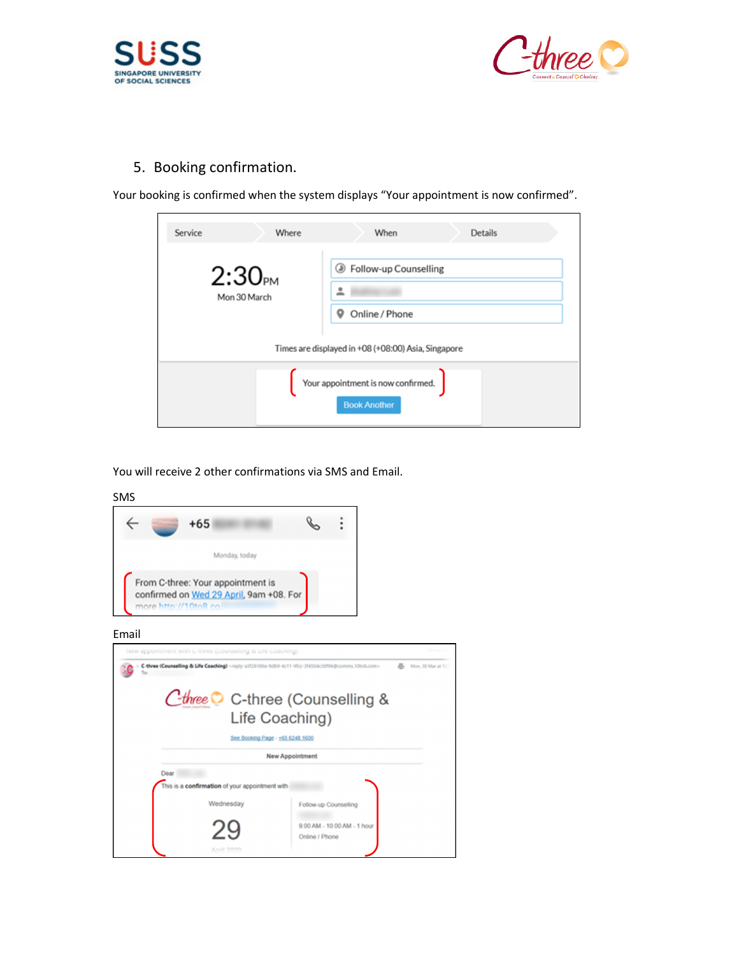



5. Booking confirmation.

Your booking is confirmed when the system displays "Your appointment is now confirmed".



You will receive 2 other confirmations via SMS and Email.

#### SMS



#### Email

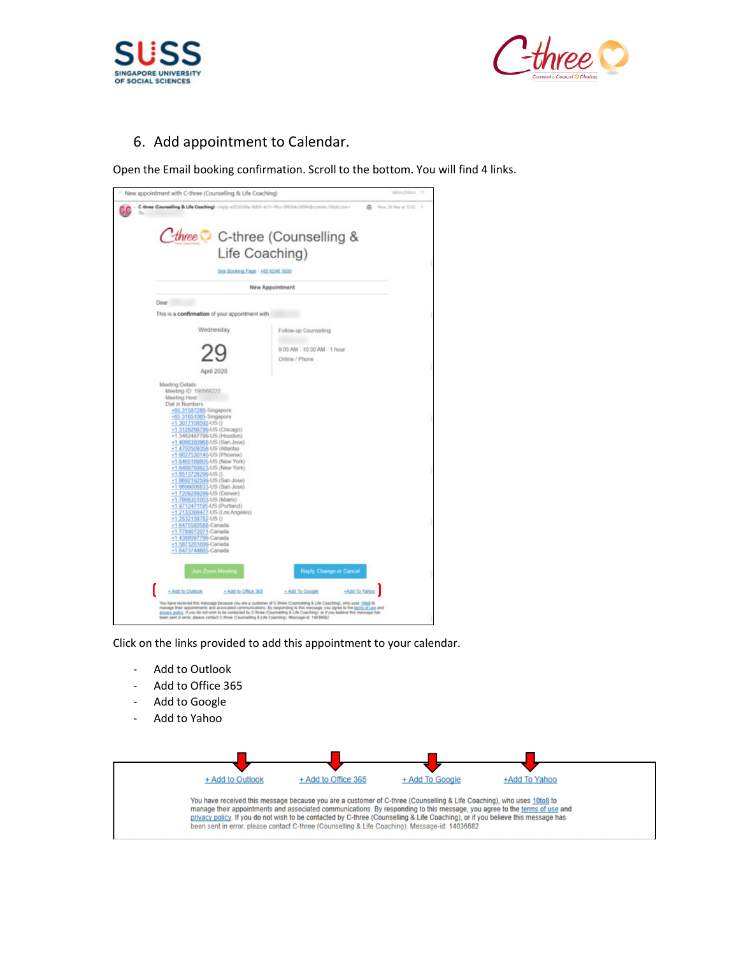



## 6. Add appointment to Calendar.

Open the Email booking confirmation. Scroll to the bottom. You will find 4 links.

| Cthree C C-three (Counselling &                                                                                                                                                                                                                                                                                                                                                                 |                                               |  |
|-------------------------------------------------------------------------------------------------------------------------------------------------------------------------------------------------------------------------------------------------------------------------------------------------------------------------------------------------------------------------------------------------|-----------------------------------------------|--|
| Life Coaching)                                                                                                                                                                                                                                                                                                                                                                                  |                                               |  |
| See Booking Page - +65 6248 1600                                                                                                                                                                                                                                                                                                                                                                |                                               |  |
|                                                                                                                                                                                                                                                                                                                                                                                                 | New Appointment                               |  |
| Dear<br>This is a confirmation of your appointment with                                                                                                                                                                                                                                                                                                                                         |                                               |  |
| Wednesday                                                                                                                                                                                                                                                                                                                                                                                       | Follow-up Counselling                         |  |
| April 2020                                                                                                                                                                                                                                                                                                                                                                                      | 9:00 AM - 10:00 AM - 1 hour<br>Online / Phone |  |
| <b>Meeting Details</b><br>Meeting ID: 190568222<br><b>Meeting Host</b><br>Dial in Numbers<br>+65 31587288-Singapore<br>+65 31651065-Singapore<br>+1 3017158592-US ()<br>+1 3126266799-US (Chicago)<br>+1 3462487799-US (Houston)<br>+1 4086380968-US (San Jose)<br>+1 4702509358-US (Atlanta)<br>+1 6027530140-US (Phoenix)                                                                     |                                               |  |
| +1 6465189805-US (New York)<br>+1 6468769923-US (New York)<br>+1 6513728299-US ()<br>+1 6692192599-US (San Jose)<br>+1 6699006833-US (San Jose)<br>+1 7209289299-US (Denver)<br>+1 7866351003-US (Miami)<br>+1 9712471195-US (Portland)<br>+1 2133388477-US (Los Angeles)<br>+1 2532158782-US ()<br>+1 6475580588-Canada<br>+17789072071-Canada<br>+1 4388097799-Canada<br>+1 5873281099-Canada |                                               |  |
| +1 6473744685-Canada<br>Join Zoom Meeting                                                                                                                                                                                                                                                                                                                                                       | Reply, Change or Cancel                       |  |
| + Add to Outlook<br>+ Add to Office 365                                                                                                                                                                                                                                                                                                                                                         | + Add To Google<br>+Add To Yahoo              |  |

Click on the links provided to add this appointment to your calendar.

- Add to Outlook
- Add to Office 365
- Add to Google
- Add to Yahoo

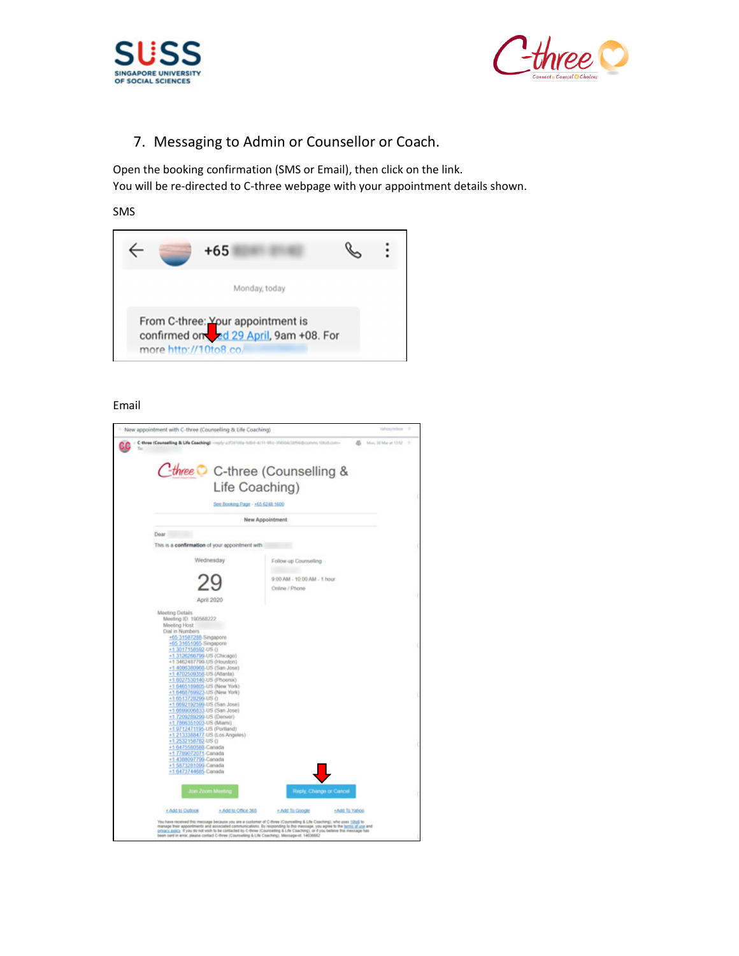



# 7. Messaging to Admin or Counsellor or Coach.

Open the booking confirmation (SMS or Email), then click on the link. You will be re-directed to C-three webpage with your appointment details shown.

#### SMS

| $+65$                                                                                                 |  |
|-------------------------------------------------------------------------------------------------------|--|
| Monday, today                                                                                         |  |
| From C-three: Your appointment is<br>confirmed on the 29 April, 9am +08. For<br>more http://10to8.co/ |  |

### Email

|                                                                                                                                                                                                                                                                                                                                                                                                                     | - New appointment with C-three (Counselling & Life Coaching) | Yahoo/Inbox 11              |
|---------------------------------------------------------------------------------------------------------------------------------------------------------------------------------------------------------------------------------------------------------------------------------------------------------------------------------------------------------------------------------------------------------------------|--------------------------------------------------------------|-----------------------------|
| C-three (Counselling & Life Coaching) <apply-alt7sh10la-6db9-4c11-9fcr-1f4508c10f96@comms.10to8.com></apply-alt7sh10la-6db9-4c11-9fcr-1f4508c10f96@comms.10to8.com>                                                                                                                                                                                                                                                 | Cthree C C-three (Counselling &                              | B Mon, 30 Mar at 12:52 - 11 |
|                                                                                                                                                                                                                                                                                                                                                                                                                     | Life Coaching)                                               |                             |
|                                                                                                                                                                                                                                                                                                                                                                                                                     | See Booking Page - +65 6248 1600                             |                             |
|                                                                                                                                                                                                                                                                                                                                                                                                                     | New Appointment                                              |                             |
| Dear<br>This is a confirmation of your appointment with                                                                                                                                                                                                                                                                                                                                                             |                                                              |                             |
| Wednesday                                                                                                                                                                                                                                                                                                                                                                                                           | Follow-up Counselling                                        |                             |
|                                                                                                                                                                                                                                                                                                                                                                                                                     | 9:00 AM - 10:00 AM - 1 hour<br>Online / Phone                |                             |
| <b>April 2020</b><br>Meeting Details<br>Meeting ID: 190568222<br>Meeting Host<br><b>Dial in Numbers</b><br>+65 31587288-Singapore<br>+65 31651065-Singapore<br>+1 3017158592-US ()<br>+1 3126266799-US (Chicago)<br>+1 3462487799-US @louston)                                                                                                                                                                      |                                                              |                             |
| +1 4066380968-US (San Jose)<br>+1 4702509358-US (Atlanta)<br>+1 6027530140-US (Phoenix)<br>+1 6465189805-US (New York)<br>+1 6468769923-US (New York)<br>+1 6513728299-US ()<br>+1 0592192599-US (San Jose)<br>+1 0099006833-US (San Jose)<br>+1 7209289299-US (Denver)<br>+1 7866351003-US (Miami)<br>+1 9712471195-US (Portland)<br>+1 2133388477-US (Los Angeles)<br>+1 2532158782-US ()<br>+1 6475580588-Canada |                                                              |                             |
| +1 7789072071-Canada<br>+1 4388097799-Canada<br>+1 5873281099-Canada<br>+1 6473744685-Canada                                                                                                                                                                                                                                                                                                                        |                                                              |                             |
| <b>Join Zoom Meeting</b>                                                                                                                                                                                                                                                                                                                                                                                            | Reply, Change or Cancel                                      |                             |